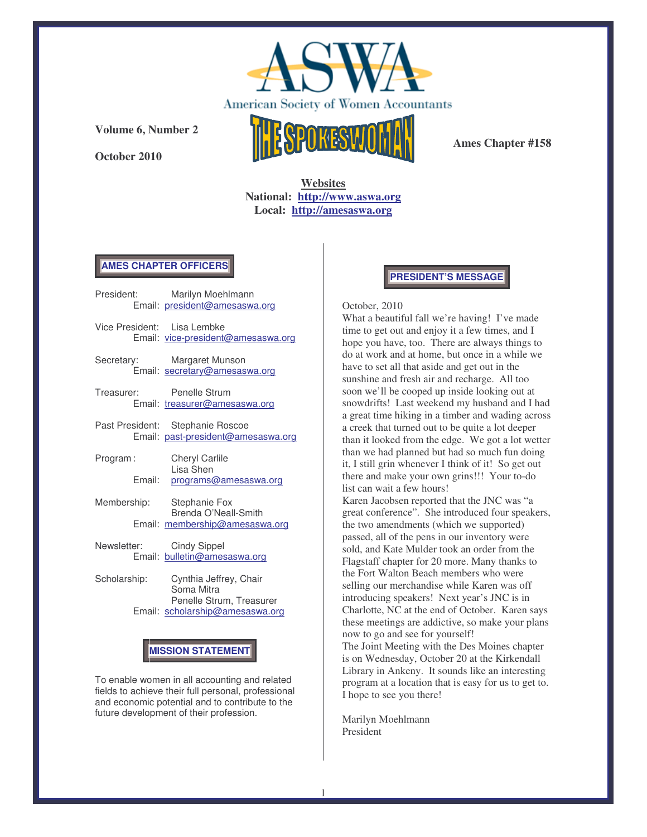

**October 2010**



**Ames Chapter #158**

**Websites National: http://www.aswa.org Local: http://amesaswa.org**

#### **AMES CHAPTER OFFICERS**

- President: Marilyn Moehlmann Email: president@amesaswa.org Vice President: Lisa Lembke Email: vice-president@amesaswa.org Secretary: Margaret Munson Email: secretary@amesaswa.org Treasurer: Penelle Strum Email: treasurer@amesaswa.org Past President: Stephanie Roscoe Email: past-president@amesaswa.org
- Program : Cheryl Carlile Lisa Shen Email: programs@amesaswa.org
- Membership: Stephanie Fox Brenda O'Neall-Smith Email: membership@amesaswa.org
- Newsletter: Cindy Sippel Email: bulletin@amesaswa.org
- Scholarship: Cynthia Jeffrey, Chair Soma Mitra Penelle Strum, Treasurer Email: scholarship@amesaswa.org

# **MISSION STATEMENT**

To enable women in all accounting and related fields to achieve their full personal, professional and economic potential and to contribute to the future development of their profession.

# **PRESIDENT'S MESSAGE**

#### October, 2010

What a beautiful fall we're having! I've made time to get out and enjoy it a few times, and I hope you have, too. There are always things to do at work and at home, but once in a while we have to set all that aside and get out in the sunshine and fresh air and recharge. All too soon we'll be cooped up inside looking out at snowdrifts! Last weekend my husband and I had a great time hiking in a timber and wading across a creek that turned out to be quite a lot deeper than it looked from the edge. We got a lot wetter than we had planned but had so much fun doing it, I still grin whenever I think of it! So get out there and make your own grins!!! Your to-do list can wait a few hours!

Karen Jacobsen reported that the JNC was "a great conference". She introduced four speakers, the two amendments (which we supported) passed, all of the pens in our inventory were sold, and Kate Mulder took an order from the Flagstaff chapter for 20 more. Many thanks to the Fort Walton Beach members who were selling our merchandise while Karen was off introducing speakers! Next year's JNC is in Charlotte, NC at the end of October. Karen says these meetings are addictive, so make your plans now to go and see for yourself!

The Joint Meeting with the Des Moines chapter is on Wednesday, October 20 at the Kirkendall Library in Ankeny. It sounds like an interesting program at a location that is easy for us to get to. I hope to see you there!

Marilyn Moehlmann President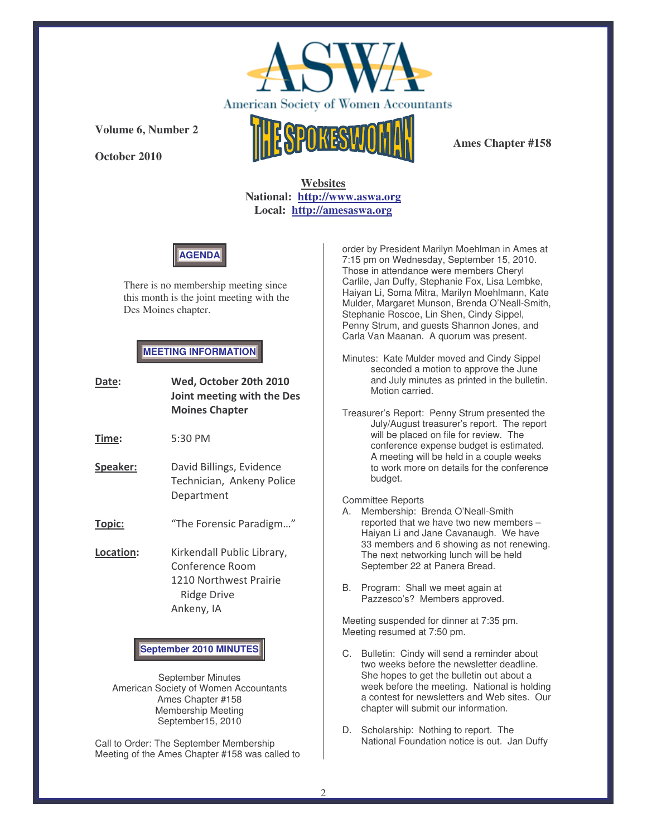

**October 2010**



**Ames Chapter #158**

**Websites National: http://www.aswa.org Local: http://amesaswa.org**



There is no membership meeting since this month is the joint meeting with the Des Moines chapter.

### **MEETING INFORMATION**

| Date:                         | Wed, October 20th 2010<br>Joint meeting with the Des<br><b>Moines Chapter</b>                        |
|-------------------------------|------------------------------------------------------------------------------------------------------|
| Time:                         | 5:30 PM                                                                                              |
| Speaker:                      | David Billings, Evidence<br>Technician, Ankeny Police<br>Department                                  |
| <u>Topic:</u>                 | "The Forensic Paradigm"                                                                              |
| Location:                     | Kirkendall Public Library,<br>Conference Room<br>1210 Northwest Prairie<br>Ridge Drive<br>Ankeny, IA |
| <b>September 2010 MINUTES</b> |                                                                                                      |

September Minutes American Society of Women Accountants Ames Chapter #158 Membership Meeting September15, 2010

Call to Order: The September Membership Meeting of the Ames Chapter #158 was called to

order by President Marilyn Moehlman in Ames at 7:15 pm on Wednesday, September 15, 2010. Those in attendance were members Cheryl Carlile, Jan Duffy, Stephanie Fox, Lisa Lembke, Haiyan Li, Soma Mitra, Marilyn Moehlmann, Kate Mulder, Margaret Munson, Brenda O'Neall-Smith, Stephanie Roscoe, Lin Shen, Cindy Sippel, Penny Strum, and guests Shannon Jones, and Carla Van Maanan. A quorum was present.

Minutes: Kate Mulder moved and Cindy Sippel seconded a motion to approve the June and July minutes as printed in the bulletin. Motion carried.

Treasurer's Report: Penny Strum presented the July/August treasurer's report. The report will be placed on file for review. The conference expense budget is estimated. A meeting will be held in a couple weeks to work more on details for the conference budget.

#### Committee Reports

- A. Membership: Brenda O'Neall-Smith reported that we have two new members – Haiyan Li and Jane Cavanaugh. We have 33 members and 6 showing as not renewing. The next networking lunch will be held September 22 at Panera Bread.
- B. Program: Shall we meet again at Pazzesco's? Members approved.

Meeting suspended for dinner at 7:35 pm. Meeting resumed at 7:50 pm.

- C. Bulletin: Cindy will send a reminder about two weeks before the newsletter deadline. She hopes to get the bulletin out about a week before the meeting. National is holding a contest for newsletters and Web sites. Our chapter will submit our information.
- D. Scholarship: Nothing to report. The National Foundation notice is out. Jan Duffy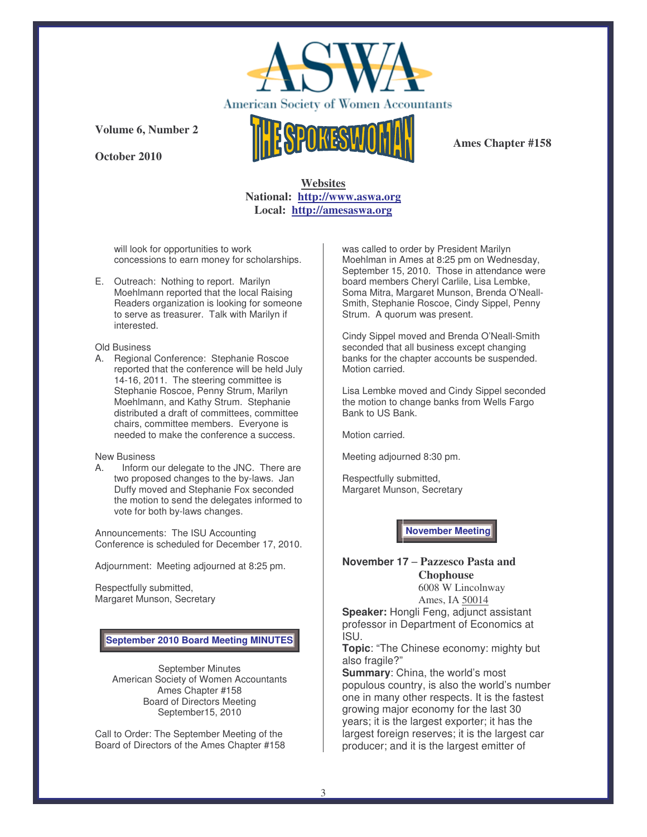

**October 2010**



**Ames Chapter #158**

## **Websites National: http://www.aswa.org Local: http://amesaswa.org**

will look for opportunities to work concessions to earn money for scholarships.

E. Outreach: Nothing to report. Marilyn Moehlmann reported that the local Raising Readers organization is looking for someone to serve as treasurer. Talk with Marilyn if interested.

#### Old Business

A. Regional Conference: Stephanie Roscoe reported that the conference will be held July 14-16, 2011. The steering committee is Stephanie Roscoe, Penny Strum, Marilyn Moehlmann, and Kathy Strum. Stephanie distributed a draft of committees, committee chairs, committee members. Everyone is needed to make the conference a success.

#### New Business

A. Inform our delegate to the JNC. There are two proposed changes to the by-laws. Jan Duffy moved and Stephanie Fox seconded the motion to send the delegates informed to vote for both by-laws changes.

Announcements: The ISU Accounting Conference is scheduled for December 17, 2010.

Adjournment: Meeting adjourned at 8:25 pm.

Respectfully submitted, Margaret Munson, Secretary

# **September 2010 Board Meeting MINUTES**

September Minutes American Society of Women Accountants Ames Chapter #158 Board of Directors Meeting September15, 2010

Call to Order: The September Meeting of the Board of Directors of the Ames Chapter #158 was called to order by President Marilyn Moehlman in Ames at 8:25 pm on Wednesday, September 15, 2010. Those in attendance were board members Cheryl Carlile, Lisa Lembke, Soma Mitra, Margaret Munson, Brenda O'Neall-Smith, Stephanie Roscoe, Cindy Sippel, Penny Strum. A quorum was present.

Cindy Sippel moved and Brenda O'Neall-Smith seconded that all business except changing banks for the chapter accounts be suspended. Motion carried.

Lisa Lembke moved and Cindy Sippel seconded the motion to change banks from Wells Fargo Bank to US Bank.

Motion carried.

Meeting adjourned 8:30 pm.

Respectfully submitted, Margaret Munson, Secretary

**November Meeting**

## **November 17** – **Pazzesco Pasta and Chophouse**

6008 W Lincolnway Ames, IA 50014

**Speaker:** Hongli Feng, adjunct assistant professor in Department of Economics at ISU.

**Topic**: "The Chinese economy: mighty but also fragile?"

**Summary**: China, the world's most populous country, is also the world's number one in many other respects. It is the fastest growing major economy for the last 30 years; it is the largest exporter; it has the largest foreign reserves; it is the largest car producer; and it is the largest emitter of